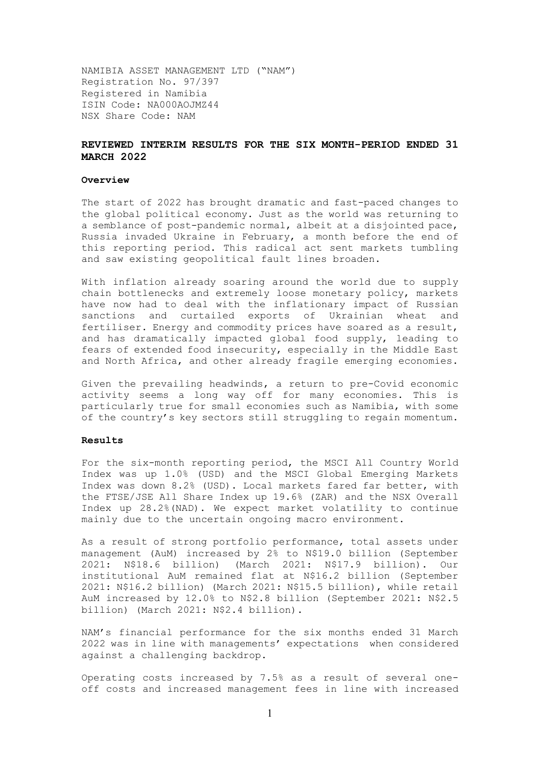NAMIBIA ASSET MANAGEMENT LTD ("NAM") Registration No. 97/397 Registered in Namibia ISIN Code: NA000AOJMZ44 NSX Share Code: NAM

## **REVIEWED INTERIM RESULTS FOR THE SIX MONTH-PERIOD ENDED 31 MARCH 2022**

### **Overview**

The start of 2022 has brought dramatic and fast-paced changes to the global political economy. Just as the world was returning to a semblance of post-pandemic normal, albeit at a disjointed pace, Russia invaded Ukraine in February, a month before the end of this reporting period. This radical act sent markets tumbling and saw existing geopolitical fault lines broaden.

With inflation already soaring around the world due to supply chain bottlenecks and extremely loose monetary policy, markets have now had to deal with the inflationary impact of Russian sanctions and curtailed exports of Ukrainian wheat and fertiliser. Energy and commodity prices have soared as a result, and has dramatically impacted global food supply, leading to fears of extended food insecurity, especially in the Middle East and North Africa, and other already fragile emerging economies.

Given the prevailing headwinds, a return to pre-Covid economic activity seems a long way off for many economies. This is particularly true for small economies such as Namibia, with some of the country's key sectors still struggling to regain momentum.

### **Results**

For the six-month reporting period, the MSCI All Country World Index was up 1.0% (USD) and the MSCI Global Emerging Markets Index was down 8.2% (USD). Local markets fared far better, with the FTSE/JSE All Share Index up 19.6% (ZAR) and the NSX Overall Index up 28.2%(NAD). We expect market volatility to continue mainly due to the uncertain ongoing macro environment.

As a result of strong portfolio performance, total assets under management (AuM) increased by 2% to N\$19.0 billion (September 2021: N\$18.6 billion) (March 2021: N\$17.9 billion). Our institutional AuM remained flat at N\$16.2 billion (September 2021: N\$16.2 billion) (March 2021: N\$15.5 billion), while retail AuM increased by 12.0% to N\$2.8 billion (September 2021: N\$2.5 billion) (March 2021: N\$2.4 billion).

NAM's financial performance for the six months ended 31 March 2022 was in line with managements' expectations when considered against a challenging backdrop.

Operating costs increased by 7.5% as a result of several oneoff costs and increased management fees in line with increased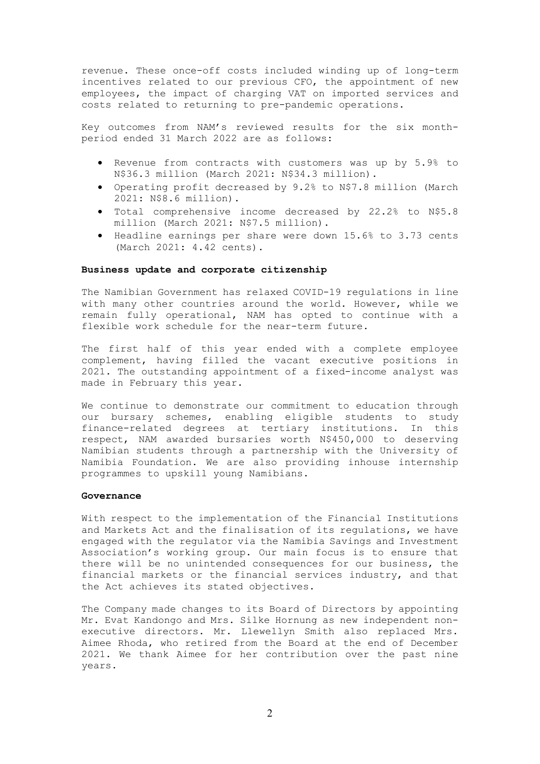revenue. These once-off costs included winding up of long-term incentives related to our previous CFO, the appointment of new employees, the impact of charging VAT on imported services and costs related to returning to pre-pandemic operations.

Key outcomes from NAM's reviewed results for the six monthperiod ended 31 March 2022 are as follows:

- Revenue from contracts with customers was up by 5.9% to N\$36.3 million (March 2021: N\$34.3 million).
- Operating profit decreased by 9.2% to N\$7.8 million (March 2021: N\$8.6 million).
- Total comprehensive income decreased by 22.2% to N\$5.8 million (March 2021: N\$7.5 million).
- Headline earnings per share were down 15.6% to 3.73 cents (March 2021: 4.42 cents).

### **Business update and corporate citizenship**

The Namibian Government has relaxed COVID-19 regulations in line with many other countries around the world. However, while we remain fully operational, NAM has opted to continue with a flexible work schedule for the near-term future.

The first half of this year ended with a complete employee complement, having filled the vacant executive positions in 2021. The outstanding appointment of a fixed-income analyst was made in February this year.

We continue to demonstrate our commitment to education through our bursary schemes, enabling eligible students to study finance-related degrees at tertiary institutions. In this respect, NAM awarded bursaries worth N\$450,000 to deserving Namibian students through a partnership with the University of Namibia Foundation. We are also providing inhouse internship programmes to upskill young Namibians.

## **Governance**

With respect to the implementation of the Financial Institutions and Markets Act and the finalisation of its regulations, we have engaged with the regulator via the Namibia Savings and Investment Association's working group. Our main focus is to ensure that there will be no unintended consequences for our business, the financial markets or the financial services industry, and that the Act achieves its stated objectives.

The Company made changes to its Board of Directors by appointing Mr. Evat Kandongo and Mrs. Silke Hornung as new independent nonexecutive directors. Mr. Llewellyn Smith also replaced Mrs. Aimee Rhoda, who retired from the Board at the end of December 2021. We thank Aimee for her contribution over the past nine years.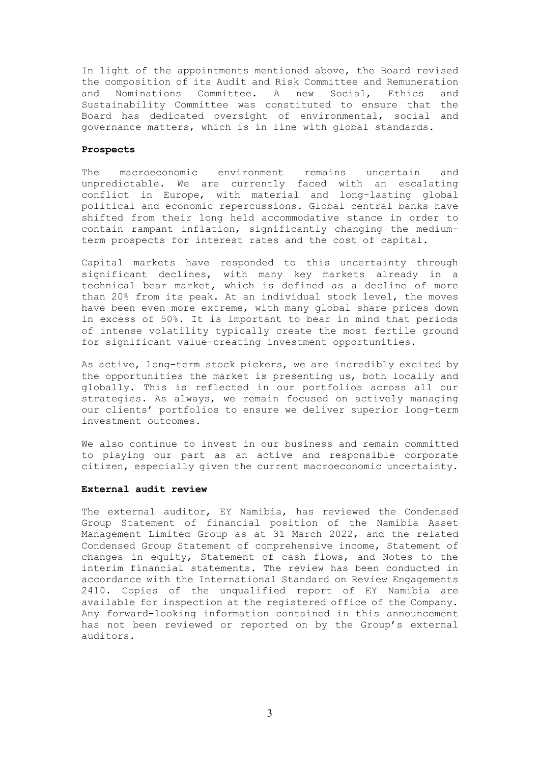In light of the appointments mentioned above, the Board revised the composition of its Audit and Risk Committee and Remuneration and Nominations Committee. A new Social, Ethics and Sustainability Committee was constituted to ensure that the Board has dedicated oversight of environmental, social and governance matters, which is in line with global standards.

### **Prospects**

The macroeconomic environment remains uncertain and unpredictable. We are currently faced with an escalating conflict in Europe, with material and long-lasting global political and economic repercussions. Global central banks have shifted from their long held accommodative stance in order to contain rampant inflation, significantly changing the mediumterm prospects for interest rates and the cost of capital.

Capital markets have responded to this uncertainty through significant declines, with many key markets already in a technical bear market, which is defined as a decline of more than 20% from its peak. At an individual stock level, the moves have been even more extreme, with many global share prices down in excess of 50%. It is important to bear in mind that periods of intense volatility typically create the most fertile ground for significant value-creating investment opportunities.

As active, long-term stock pickers, we are incredibly excited by the opportunities the market is presenting us, both locally and globally. This is reflected in our portfolios across all our strategies. As always, we remain focused on actively managing our clients' portfolios to ensure we deliver superior long-term investment outcomes.

We also continue to invest in our business and remain committed to playing our part as an active and responsible corporate citizen, especially given the current macroeconomic uncertainty.

#### **External audit review**

The external auditor, EY Namibia, has reviewed the Condensed Group Statement of financial position of the Namibia Asset Management Limited Group as at 31 March 2022, and the related Condensed Group Statement of comprehensive income, Statement of changes in equity, Statement of cash flows, and Notes to the interim financial statements. The review has been conducted in accordance with the International Standard on Review Engagements 2410. Copies of the unqualified report of EY Namibia are available for inspection at the registered office of the Company. Any forward-looking information contained in this announcement has not been reviewed or reported on by the Group's external auditors.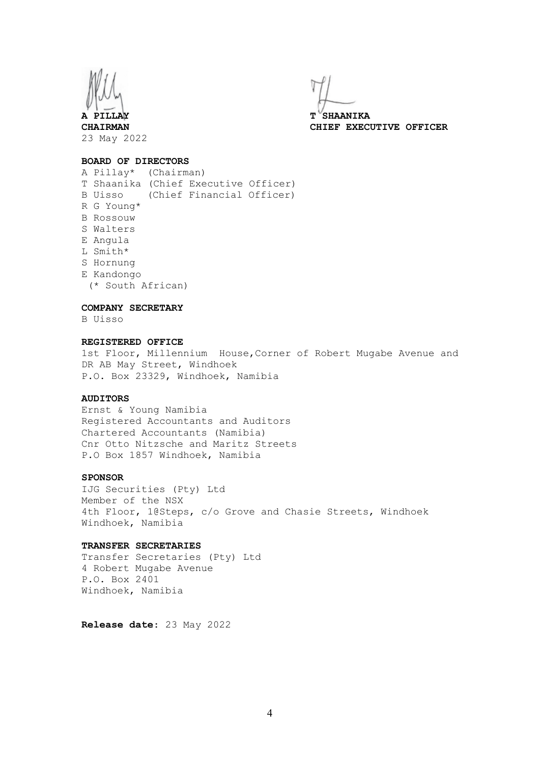

**A PILLAY T SHAANIKA CHAIRMAN CHIEF EXECUTIVE OFFICER**

### **BOARD OF DIRECTORS**

A Pillay\* (Chairman) T Shaanika (Chief Executive Officer) B Uisso (Chief Financial Officer) R G Young\* B Rossouw S Walters E Angula L Smith\* S Hornung E Kandongo (\* South African)

### **COMPANY SECRETARY**

B Uisso

## **REGISTERED OFFICE**

1st Floor, Millennium House,Corner of Robert Mugabe Avenue and DR AB May Street, Windhoek P.O. Box 23329, Windhoek, Namibia

### **AUDITORS**

Ernst & Young Namibia Registered Accountants and Auditors Chartered Accountants (Namibia) Cnr Otto Nitzsche and Maritz Streets P.O Box 1857 Windhoek, Namibia

### **SPONSOR**

IJG Securities (Pty) Ltd Member of the NSX 4th Floor, 1@Steps, c/o Grove and Chasie Streets, Windhoek Windhoek, Namibia

### **TRANSFER SECRETARIES**

Transfer Secretaries (Pty) Ltd 4 Robert Mugabe Avenue P.O. Box 2401 Windhoek, Namibia

**Release date**: 23 May 2022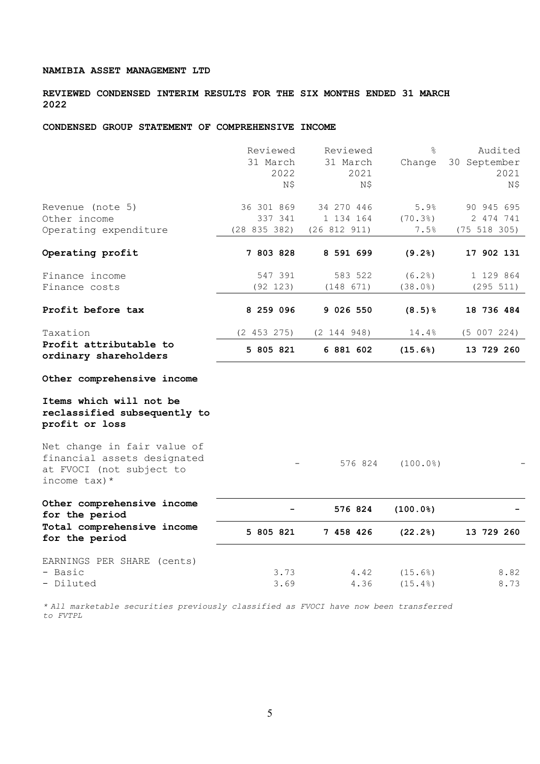**REVIEWED CONDENSED INTERIM RESULTS FOR THE SIX MONTHS ENDED 31 MARCH 2022**

## **CONDENSED GROUP STATEMENT OF COMPREHENSIVE INCOME**

|                                                                                                         | Reviewed<br>31 March<br>2022<br>N\$ | Reviewed<br>31 March<br>2021<br>N\$ | ⊱<br>Change        | Audited<br>30 September<br>2021<br>N\$ |
|---------------------------------------------------------------------------------------------------------|-------------------------------------|-------------------------------------|--------------------|----------------------------------------|
| Revenue (note 5)                                                                                        | 36 301 869                          | 34 270 446                          | 5.9%               | 90 945 695                             |
| Other income<br>Operating expenditure                                                                   | 337 341<br>(28 835 382)             | 1 134 164<br>(26 812 911)           | (70.3)<br>7.5%     | 2 474 741<br>(75 518 305)              |
| Operating profit                                                                                        | 7 803 828                           | 8 591 699                           | (9.2)              | 17 902 131                             |
| Finance income<br>Finance costs                                                                         | 547 391<br>(92 123)                 | 583 522<br>(148 671)                | (6.2)<br>(38.0%)   | 1 129 864<br>(295 511)                 |
| Profit before tax                                                                                       | 8 259 096                           | 9 026 550                           | $(8.5)$ $%$        | 18 736 484                             |
| Taxation                                                                                                | (2 453 275)                         | (2 144 948)                         | 14.4%              | (5 007 224)                            |
| Profit attributable to<br>ordinary shareholders                                                         | 5 805 821                           | 6 881 602                           | (15.6%)            | 13 729 260                             |
| Other comprehensive income                                                                              |                                     |                                     |                    |                                        |
| Items which will not be<br>reclassified subsequently to<br>profit or loss                               |                                     |                                     |                    |                                        |
| Net change in fair value of<br>financial assets designated<br>at FVOCI (not subject to<br>income tax) * |                                     | 576 824                             | (100.0)            |                                        |
| Other comprehensive income<br>for the period                                                            |                                     | 576 824                             | (100.0%            |                                        |
| Total comprehensive income<br>for the period                                                            | 5 805 821                           | 7 458 426                           | (22.2)             | 13 729 260                             |
| EARNINGS PER SHARE (cents)<br>- Basic<br>- Diluted                                                      | 3.73<br>3.69                        | 4.42<br>4.36                        | (15.6%)<br>(15.4%) | 8.82<br>8.73                           |
|                                                                                                         |                                     |                                     |                    |                                        |

*\* All marketable securities previously classified as FVOCI have now been transferred to FVTPL*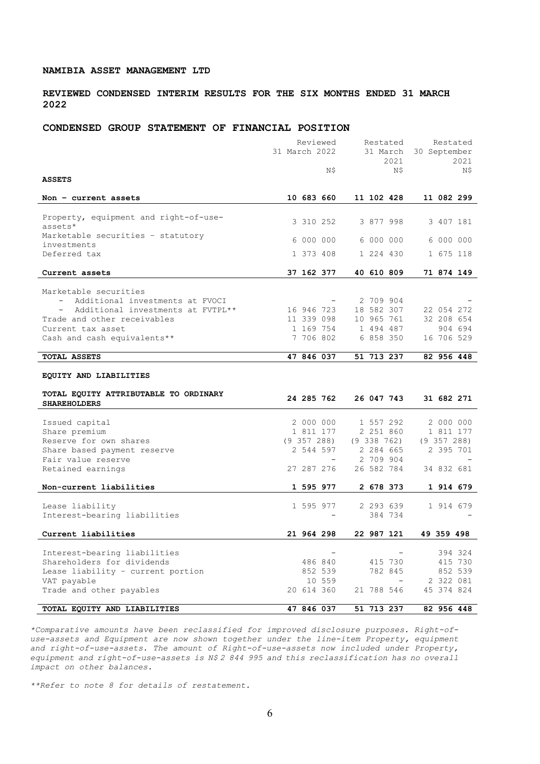## **REVIEWED CONDENSED INTERIM RESULTS FOR THE SIX MONTHS ENDED 31 MARCH 2022**

### **CONDENSED GROUP STATEMENT OF FINANCIAL POSITION**

|                                                             | Reviewed                 | Restated        | Restated        |
|-------------------------------------------------------------|--------------------------|-----------------|-----------------|
|                                                             | 31 March 2022            | 31 March        | 30 September    |
|                                                             |                          | 2021            | 2021            |
|                                                             | Ν\$                      | N\$             | N\$             |
| <b>ASSETS</b>                                               |                          |                 |                 |
|                                                             |                          |                 |                 |
| Non - current assets                                        | 10 683 660               | 11 102 428      | 11 082 299      |
|                                                             |                          |                 |                 |
| Property, equipment and right-of-use-                       | 3 310 252                | 3 877 998       | 3 407 181       |
| assets*                                                     |                          |                 |                 |
| Marketable securities - statutory                           | 6 000 000                | 6 000 000       | 6 000 000       |
| investments<br>Deferred tax                                 | 1 373 408                | 1 224 430       | 1 675 118       |
|                                                             |                          |                 |                 |
| Current assets                                              | 37 162 377               | 40 610 809      | 71 874 149      |
|                                                             |                          |                 |                 |
| Marketable securities                                       |                          |                 |                 |
| Additional investments at FVOCI<br>$\overline{\phantom{0}}$ |                          | 2 709 904       |                 |
| Additional investments at FVTPL**                           | 16 946 723               | 18 582 307      | 22 054 272      |
| Trade and other receivables                                 | 11 339 098               | 10 965 761      | 32 208 654      |
| Current tax asset                                           | 1 169 754                | 1 494 487       | 904 694         |
| Cash and cash equivalents**                                 | 7 706 802                | 6 858 350       | 16 706 529      |
|                                                             |                          |                 |                 |
| <b>TOTAL ASSETS</b>                                         | 47 846 037               | 51 713 237      | 82 956 448      |
|                                                             |                          |                 |                 |
| EQUITY AND LIABILITIES                                      |                          |                 |                 |
|                                                             |                          |                 |                 |
| TOTAL EQUITY ATTRIBUTABLE TO ORDINARY                       | 24 285 762               | 26 047 743      | 31 682 271      |
| <b>SHAREHOLDERS</b>                                         |                          |                 |                 |
| Issued capital                                              | 2 000 000                | 1 557 292       | 2 000 000       |
| Share premium                                               | 1 811 177                | 2 251 860       | 1 811 177       |
| Reserve for own shares                                      | $(9\;357\;288)$          | $(9\;338\;762)$ | $(9\;357\;288)$ |
| Share based payment reserve                                 | 2 544 597                | 2 284 665       | 2 395 701       |
| Fair value reserve                                          | $\overline{\phantom{0}}$ | 2 709 904       |                 |
| Retained earnings                                           | 27 287 276               | 26 582 784      | 34 832 681      |
|                                                             |                          |                 |                 |
| Non-current liabilities                                     | 1 595 977                | 2 678 373       | 1 914 679       |
|                                                             |                          |                 |                 |
| Lease liability                                             | 1 595 977                | 2 293 639       | 1 914 679       |
| Interest-bearing liabilities                                |                          | 384 734         |                 |
|                                                             |                          |                 |                 |
| Current liabilities                                         | 21 964 298               | 22 987 121      | 49 359 498      |
|                                                             |                          |                 |                 |
| Interest-bearing liabilities                                |                          |                 | 394 324         |
| Shareholders for dividends                                  | 486 840                  | 415 730         | 415 730         |
| Lease liability - current portion                           | 852 539                  | 782 845         | 852 539         |
| VAT payable                                                 | 10 559                   |                 | 2 322 081       |
| Trade and other payables                                    | 20 614 360               | 21 788 546      | 45 374 824      |
|                                                             |                          |                 |                 |
| TOTAL EQUITY AND LIABILITIES                                | 47 846 037               | 51 713 237      | 82 956 448      |

*\*Comparative amounts have been reclassified for improved disclosure purposes. Right-ofuse-assets and Equipment are now shown together under the line-item Property, equipment and right-of-use-assets. The amount of Right-of-use-assets now included under Property, equipment and right-of-use-assets is N\$ 2 844 995 and this reclassification has no overall impact on other balances.*

*\*\*Refer to note 8 for details of restatement.*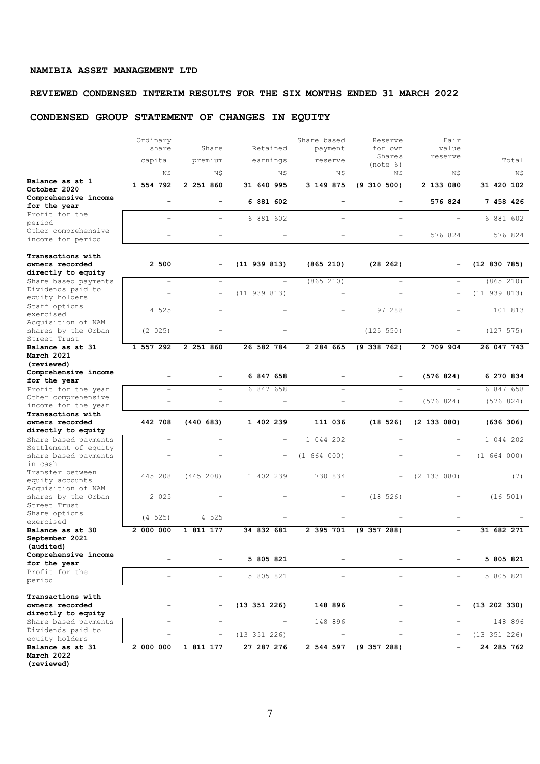# **REVIEWED CONDENSED INTERIM RESULTS FOR THE SIX MONTHS ENDED 31 MARCH 2022**

# **CONDENSED GROUP STATEMENT OF CHANGES IN EQUITY**

|                                                           | Ordinary<br>share        | Share                    | Retained                 | Share based<br>payment | Reserve<br>for own       | Fair<br>value            |                  |
|-----------------------------------------------------------|--------------------------|--------------------------|--------------------------|------------------------|--------------------------|--------------------------|------------------|
|                                                           |                          |                          |                          |                        | Shares                   | reserve                  |                  |
|                                                           | capital                  | premium                  | earnings                 | reserve                | (note 6)                 |                          | Total            |
| Balance as at 1                                           | Ν\$                      | N\$                      | N\$                      | Ν\$                    | N\$                      | Ν\$                      | N\$              |
| October 2020                                              | 1 554 792                | 2 251 860                | 31 640 995               | 3 149 875              | $(9\;310\;500)$          | 2 133 080                | 31 420 102       |
| Comprehensive income                                      | $\equiv$                 |                          | 6 881 602                |                        |                          | 576 824                  | 7 458 426        |
| for the year<br>Profit for the                            |                          |                          |                          |                        |                          |                          |                  |
| period                                                    |                          |                          | 6 881 602                |                        |                          |                          | 6 881 602        |
| Other comprehensive<br>income for period                  |                          |                          |                          |                        |                          | 576 824                  | 576 824          |
| Transactions with                                         |                          |                          |                          |                        |                          |                          |                  |
| owners recorded                                           | 2 500                    |                          | $(11\ 939\ 813)$         | (865 210)              | (28 262)                 |                          | (12 830 785)     |
| directly to equity                                        | $\overline{\phantom{a}}$ | $\overline{\phantom{a}}$ | $\overline{\phantom{0}}$ | (865 210)              | $\overline{\phantom{0}}$ | $\overline{\phantom{a}}$ | (865 210)        |
| Share based payments<br>Dividends paid to                 |                          |                          |                          |                        |                          |                          |                  |
| equity holders                                            |                          | $\overline{\phantom{a}}$ | (11 939 813)             |                        |                          | $\qquad \qquad -$        | (11 939 813)     |
| Staff options<br>exercised                                | 4 525                    |                          |                          |                        | 97 288                   |                          | 101 813          |
| Acquisition of NAM<br>shares by the Orban<br>Street Trust | (2 025)                  |                          |                          |                        | (125 550)                |                          | (127 575)        |
| Balance as at 31                                          | 1 557 292                | 2 251 860                | 26 582 784               | 2 284 665              | $(9\;338\;762)$          | 2 709 904                | 26 047 743       |
| March 2021                                                |                          |                          |                          |                        |                          |                          |                  |
| (reviewed)<br>Comprehensive income                        |                          |                          |                          |                        |                          |                          |                  |
| for the year                                              |                          |                          | 6 847 658                |                        |                          | (576 824)                | 6 270 834        |
| Profit for the year                                       |                          |                          | 6 847 658                |                        | $\overline{\phantom{0}}$ |                          | 6847658          |
| Other comprehensive                                       |                          |                          |                          |                        |                          | (576824)                 | (576824)         |
| income for the year<br>Transactions with                  |                          |                          |                          |                        |                          |                          |                  |
| owners recorded                                           | 442 708                  | (440683)                 | 1 402 239                | 111 036                | (18526)                  | $(2\;133\;080)$          | (636 306)        |
| directly to equity                                        |                          |                          |                          |                        |                          |                          |                  |
| Share based payments<br>Settlement of equity              |                          |                          | $\overline{\phantom{a}}$ | 044 202<br>1           |                          |                          | 1 044 202        |
| share based payments<br>in cash                           |                          |                          | $\qquad \qquad -$        | (1 664 000)            |                          |                          | (1 664 000)      |
| Transfer between<br>equity accounts                       | 445 208                  | (445 208)                | 1 402 239                | 730 834                |                          | (2 133 080)              | (7)              |
| Acquisition of NAM<br>shares by the Orban<br>Street Trust | 2 0 2 5                  |                          |                          |                        | (18526)                  |                          | (16 501)         |
| Share options<br>exercised                                | (4 525)                  | 4 525                    |                          |                        |                          |                          |                  |
| Balance as at 30<br>September 2021<br>(audited)           | 2 000 000                | 1 811 177                | 34 832 681               | 2 395 701              | $(9\;357\;288)$          |                          | 31 682 271       |
| Comprehensive income<br>for the year                      |                          |                          | 5 805 821                |                        |                          |                          | 5 805 821        |
| Profit for the<br>period                                  | $\overline{a}$           |                          | 5 805 821                | -                      | -                        | $\overline{a}$           | 5 805 821        |
| Transactions with<br>owners recorded                      |                          |                          | (13 351 226)             | 148 896                |                          |                          | $(13\ 202\ 330)$ |
| directly to equity<br>Share based payments                | $\equiv$                 | ۳                        | L.                       | 148 896                |                          | $\overline{\phantom{a}}$ | 148 896          |
| Dividends paid to<br>equity holders                       |                          |                          | (13 351 226)             |                        |                          |                          | (13 351 226)     |
| Balance as at 31<br>March 2022<br>(reviewed)              | 2 000 000                | 1 811 177                | 27 287 276               | 2 544 597              | $(9\;357\;288)$          |                          | 24 285 762       |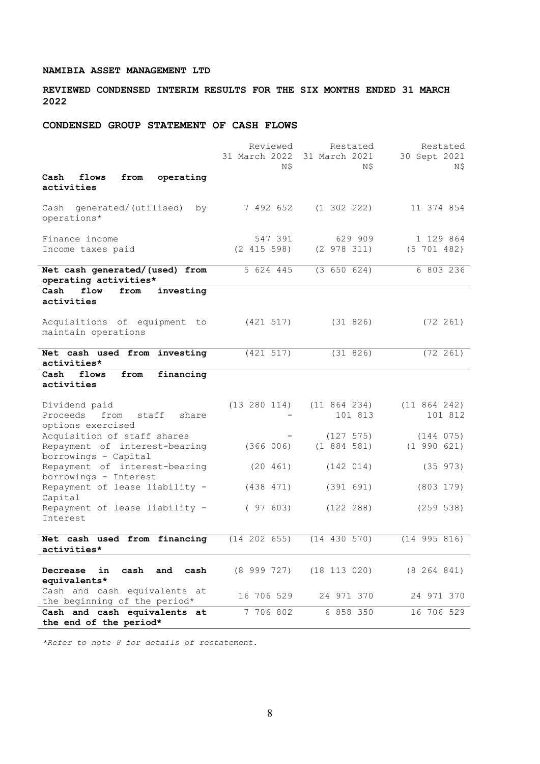**REVIEWED CONDENSED INTERIM RESULTS FOR THE SIX MONTHS ENDED 31 MARCH 2022**

# **CONDENSED GROUP STATEMENT OF CASH FLOWS**

|                                                  | Reviewed        | Restated         | Restated         |
|--------------------------------------------------|-----------------|------------------|------------------|
|                                                  | 31 March 2022   | 31 March 2021    | 30 Sept 2021     |
|                                                  | N\$             | N\$              | N\$              |
| operating<br>flows<br>from<br>Cash               |                 |                  |                  |
| activities                                       |                 |                  |                  |
| generated/(utilised)<br>Cash<br>by               | 7 492 652       | $(1\;302\;222)$  | 11 374 854       |
| operations*                                      |                 |                  |                  |
|                                                  |                 |                  |                  |
| Finance income                                   | 547 391         | 629 909          | 1 129 864        |
| Income taxes paid                                | (2 415 598)     | (2 978 311)      | (5 701 482)      |
|                                                  |                 |                  |                  |
| Net cash generated/(used) from                   | 5 624 445       | (3 650 624)      | 6 803 236        |
| operating activities*                            |                 |                  |                  |
| Cash<br>flow<br>from<br>investing                |                 |                  |                  |
| activities                                       |                 |                  |                  |
| Acquisitions of equipment to                     | (421 517)       | (31826)          | $(72 \t261)$     |
| maintain operations                              |                 |                  |                  |
|                                                  |                 |                  |                  |
| Net cash used from investing                     | (421 517)       | (31 826)         | $(72 \ 261)$     |
| activities*                                      |                 |                  |                  |
| Cash<br>flows<br>from<br>financing               |                 |                  |                  |
| activities                                       |                 |                  |                  |
|                                                  |                 |                  |                  |
| Dividend paid                                    | (13 280 114)    | (11 864 234)     | (11 864 242)     |
| Proceeds<br>from<br>staff<br>share               |                 | 101 813          | 101 812          |
| options exercised<br>Acquisition of staff shares |                 | (127 575)        | (144 075)        |
| Repayment of interest-bearing                    | (366 006)       | (1884581)        | (1 990 621)      |
| borrowings - Capital                             |                 |                  |                  |
| Repayment of interest-bearing                    | (20 461)        | (142 014)        | (35 973)         |
| borrowings - Interest                            |                 |                  |                  |
| Repayment of lease liability -                   | (438 471)       | (391 691)        | (803 179)        |
| Capital                                          |                 |                  |                  |
| Repayment of lease liability -                   | (97603)         | (122 288)        | (259 538)        |
| Interest                                         |                 |                  |                  |
|                                                  |                 |                  |                  |
| Net cash used from financing                     | (14 202 655)    | (14 430 570)     | $(14\ 995\ 816)$ |
| activities*                                      |                 |                  |                  |
| in<br>cash<br>and<br>cash<br>Decrease            | $(8\ 999\ 727)$ | $(18\ 113\ 020)$ | (8 264 841)      |
| equivalents*                                     |                 |                  |                  |
| Cash and cash equivalents at                     |                 |                  |                  |
| the beginning of the period*                     | 16 706 529      | 24 971 370       | 24 971 370       |
| Cash and cash equivalents at                     | 7 706 802       | 6 858 350        | 16 706 529       |
| the end of the period*                           |                 |                  |                  |

*\*Refer to note 8 for details of restatement.*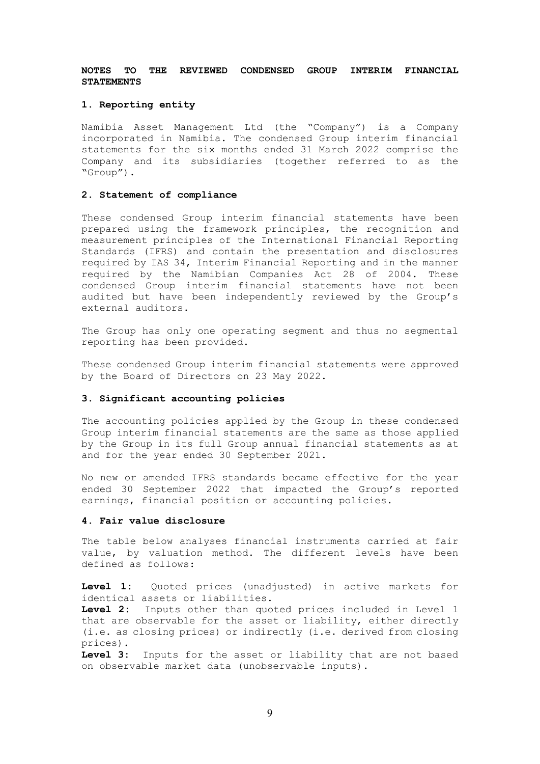## **NOTES TO THE REVIEWED CONDENSED GROUP INTERIM FINANCIAL STATEMENTS**

### **1. Reporting entity**

Namibia Asset Management Ltd (the "Company") is a Company incorporated in Namibia. The condensed Group interim financial statements for the six months ended 31 March 2022 comprise the Company and its subsidiaries (together referred to as the "Group").

## **2. Statement of compliance**

These condensed Group interim financial statements have been prepared using the framework principles, the recognition and measurement principles of the International Financial Reporting Standards (IFRS) and contain the presentation and disclosures required by IAS 34, Interim Financial Reporting and in the manner required by the Namibian Companies Act 28 of 2004. These condensed Group interim financial statements have not been audited but have been independently reviewed by the Group's external auditors.

The Group has only one operating segment and thus no segmental reporting has been provided.

These condensed Group interim financial statements were approved by the Board of Directors on 23 May 2022.

### **3. Significant accounting policies**

The accounting policies applied by the Group in these condensed Group interim financial statements are the same as those applied by the Group in its full Group annual financial statements as at and for the year ended 30 September 2021.

No new or amended IFRS standards became effective for the year ended 30 September 2022 that impacted the Group's reported earnings, financial position or accounting policies.

## **4. Fair value disclosure**

The table below analyses financial instruments carried at fair value, by valuation method. The different levels have been defined as follows:

**Level 1:** Quoted prices (unadjusted) in active markets for identical assets or liabilities.

**Level 2:** Inputs other than quoted prices included in Level 1 that are observable for the asset or liability, either directly (i.e. as closing prices) or indirectly (i.e. derived from closing prices).

**Level 3:** Inputs for the asset or liability that are not based on observable market data (unobservable inputs).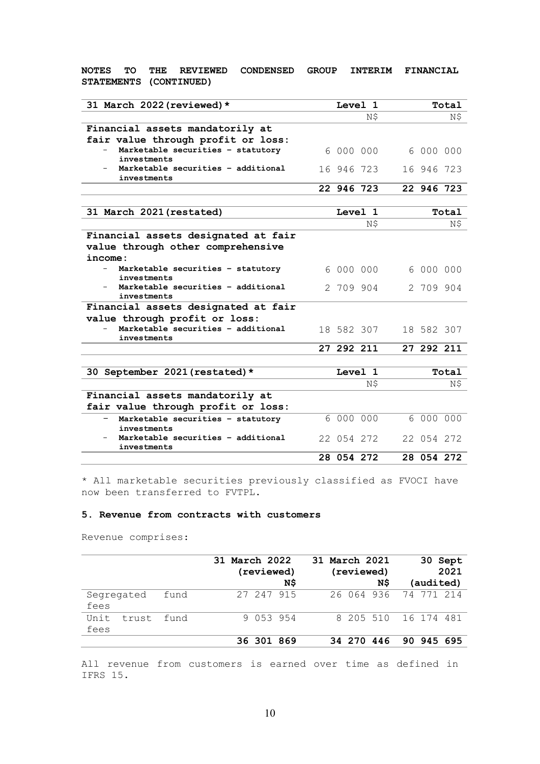# **NOTES TO THE REVIEWED CONDENSED GROUP INTERIM FINANCIAL STATEMENTS (CONTINUED)**

| 31 March 2022 (reviewed) *                        |            | Level 1    |            | Total |
|---------------------------------------------------|------------|------------|------------|-------|
|                                                   |            | N\$        |            | N\$   |
| Financial assets mandatorily at                   |            |            |            |       |
| fair value through profit or loss:                |            |            |            |       |
| Marketable securities - statutory                 |            | 6 000 000  | 6 000 000  |       |
| investments<br>Marketable securities - additional | 16 946 723 |            | 16 946 723 |       |
| investments                                       |            |            |            |       |
|                                                   | 22 946 723 |            | 22 946 723 |       |
|                                                   |            |            |            |       |
| 31 March 2021 (restated)                          |            | Level 1    |            | Total |
|                                                   |            | N\$        |            | N\$   |
| Financial assets designated at fair               |            |            |            |       |
| value through other comprehensive                 |            |            |            |       |
| income:                                           |            |            |            |       |
| Marketable securities - statutory<br>investments  |            | 6 000 000  | 6 000 000  |       |
| Marketable securities - additional                |            | 2 709 904  | 2 709 904  |       |
| investments                                       |            |            |            |       |
| Financial assets designated at fair               |            |            |            |       |
| value through profit or loss:                     |            |            |            |       |
| Marketable securities - additional<br>investments |            | 18 582 307 | 18 582 307 |       |
|                                                   | 27 292 211 |            | 27 292 211 |       |
|                                                   |            |            |            |       |
| 30 September 2021 (restated) *                    |            | Level 1    |            | Total |
|                                                   |            | N\$        |            | Ν\$   |
| Financial assets mandatorily at                   |            |            |            |       |
| fair value through profit or loss:                |            |            |            |       |
| Marketable securities - statutory<br>investments  | 6 000 000  |            | 6 000 000  |       |
| Marketable securities - additional                | 22 054 272 |            | 22 054 272 |       |
| investments                                       |            |            |            |       |
|                                                   | 28 054 272 |            | 28 054 272 |       |

\* All marketable securities previously classified as FVOCI have now been transferred to FVTPL.

## **5. Revenue from contracts with customers**

Revenue comprises:

|                       |      | 31 March 2022 | (reviewed) | N\$ | 31 March 2021 | (reviewed) | N\$                   | (audited)  | 30 Sept<br>2021 |
|-----------------------|------|---------------|------------|-----|---------------|------------|-----------------------|------------|-----------------|
| Segregated<br>fees    | fund |               | 27 247 915 |     |               |            | 26 064 936 74 771 214 |            |                 |
| Unit<br>trust<br>fees | fund |               | 9 053 954  |     |               |            | 8 205 510 16 174 481  |            |                 |
|                       |      |               | 36 301 869 |     |               | 34 270     | 446                   | 90 945 695 |                 |

All revenue from customers is earned over time as defined in IFRS 15.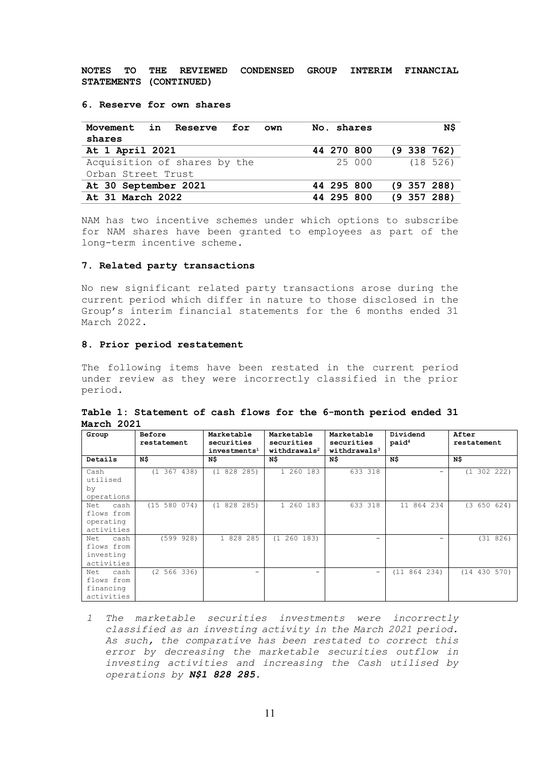**NOTES TO THE REVIEWED CONDENSED GROUP INTERIM FINANCIAL STATEMENTS (CONTINUED)**

### **6. Reserve for own shares**

| Movement in Reserve for<br>own | No. shares | N\$             |
|--------------------------------|------------|-----------------|
| shares                         |            |                 |
| At 1 April 2021                | 44 270 800 | $(9\;338\;762)$ |
| Acquisition of shares by the   | 25 000     | (18526)         |
| Orban Street Trust             |            |                 |
| At 30 September 2021           | 44 295 800 | $(9\;357\;288)$ |
| At 31 March 2022               | 44 295 800 | $(9\;357\;288)$ |

NAM has two incentive schemes under which options to subscribe for NAM shares have been granted to employees as part of the long-term incentive scheme.

## **7. Related party transactions**

No new significant related party transactions arose during the current period which differ in nature to those disclosed in the Group's interim financial statements for the 6 months ended 31 March 2022.

## **8. Prior period restatement**

The following items have been restated in the current period under review as they were incorrectly classified in the prior period.

|            | Table 1: Statement of cash flows for the 6-month period ended 31 |  |  |                                 |  |  |
|------------|------------------------------------------------------------------|--|--|---------------------------------|--|--|
| March 2021 |                                                                  |  |  |                                 |  |  |
|            |                                                                  |  |  | the contract of the contract of |  |  |

| Group       | Before          | Marketable               | Marketable               | Marketable                 | Dividend          | After           |
|-------------|-----------------|--------------------------|--------------------------|----------------------------|-------------------|-----------------|
|             | restatement     | securities               | securities               | securities                 | paid <sup>4</sup> | restatement     |
|             |                 | investments <sup>1</sup> | withdrawals <sup>2</sup> | with draws 1s <sup>3</sup> |                   |                 |
| Details     | N\$             | N\$                      | N\$                      | N\$                        | N\$               | N\$             |
| Cash        | $(1\;367\;438)$ | 828 285)<br>(1           | 1 260 183                | 633 318                    |                   | 302 222)<br>(1) |
| utilised    |                 |                          |                          |                            |                   |                 |
| by          |                 |                          |                          |                            |                   |                 |
| operations  |                 |                          |                          |                            |                   |                 |
| cash<br>Net | (15 580 074)    | 828 285)<br>$(1 -$       | 1 260<br>183             | 318<br>633                 | 864 234<br>11     | (3 650 624)     |
| flows from  |                 |                          |                          |                            |                   |                 |
| operating   |                 |                          |                          |                            |                   |                 |
| activities  |                 |                          |                          |                            |                   |                 |
| cash<br>Net | (599928)        | 1 828 285                | 260 183)<br>(1)          |                            |                   | (31 826)        |
| flows from  |                 |                          |                          |                            |                   |                 |
| investing   |                 |                          |                          |                            |                   |                 |
| activities  |                 |                          |                          |                            |                   |                 |
| Net<br>cash | (2 566 336)     | -                        | -                        | -                          | (11 864 234)      | (14 430 570)    |
| flows from  |                 |                          |                          |                            |                   |                 |
| financing   |                 |                          |                          |                            |                   |                 |
| activities  |                 |                          |                          |                            |                   |                 |

*1 The marketable securities investments were incorrectly classified as an investing activity in the March 2021 period. As such, the comparative has been restated to correct this error by decreasing the marketable securities outflow in investing activities and increasing the Cash utilised by operations by N\$1 828 285.*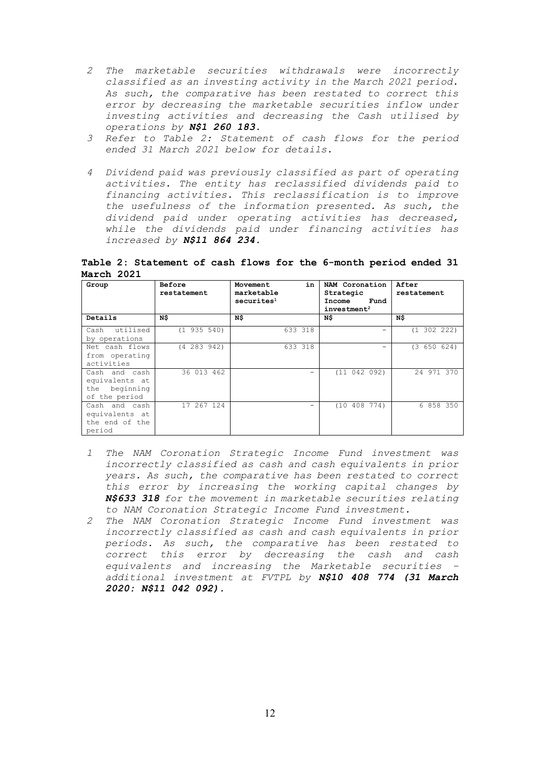- *2 The marketable securities withdrawals were incorrectly classified as an investing activity in the March 2021 period. As such, the comparative has been restated to correct this error by decreasing the marketable securities inflow under investing activities and decreasing the Cash utilised by operations by N\$1 260 183.*
- *3 Refer to Table 2: Statement of cash flows for the period ended 31 March 2021 below for details.*
- *4 Dividend paid was previously classified as part of operating activities. The entity has reclassified dividends paid to financing activities. This reclassification is to improve the usefulness of the information presented. As such, the dividend paid under operating activities has decreased, while the dividends paid under financing activities has increased by N\$11 864 234.*

**Table 2: Statement of cash flows for the 6-month period ended 31 March 2021**

| Group                                                                | Before<br>restatement | in<br>Movement<br>marketable<br>securites <sup>1</sup> | NAM Coronation<br>Strategic<br>Income<br>Fund<br>investment <sup>2</sup> | After<br>restatement |
|----------------------------------------------------------------------|-----------------------|--------------------------------------------------------|--------------------------------------------------------------------------|----------------------|
| Details                                                              | N\$                   | N\$                                                    | N\$                                                                      | N\$                  |
| utilised<br>Cash<br>by operations                                    | (1935510)             | 633 318                                                |                                                                          | (1 302 222)          |
| Net cash flows<br>from operating<br>activities                       | $(4\ 283\ 942)$       | 633 318                                                |                                                                          | (3 650 624)          |
| Cash and cash<br>equivalents at<br>beginning<br>the<br>of the period | 36 013 462            |                                                        | (11 042 092)                                                             | 24 971 370           |
| Cash and cash<br>equivalents at<br>the end of the<br>period          | 17 267 124            |                                                        | (10, 408, 774)                                                           | 6 858 350            |

- *1 The NAM Coronation Strategic Income Fund investment was incorrectly classified as cash and cash equivalents in prior years. As such, the comparative has been restated to correct this error by increasing the working capital changes by N\$633'318 for the movement in marketable securities relating to NAM Coronation Strategic Income Fund investment.*
- *2 The NAM Coronation Strategic Income Fund investment was incorrectly classified as cash and cash equivalents in prior periods. As such, the comparative has been restated to correct this error by decreasing the cash and cash equivalents and increasing the Marketable securities – additional investment at FVTPL by N\$10 408 774 (31 March 2020: N\$11'042'092).*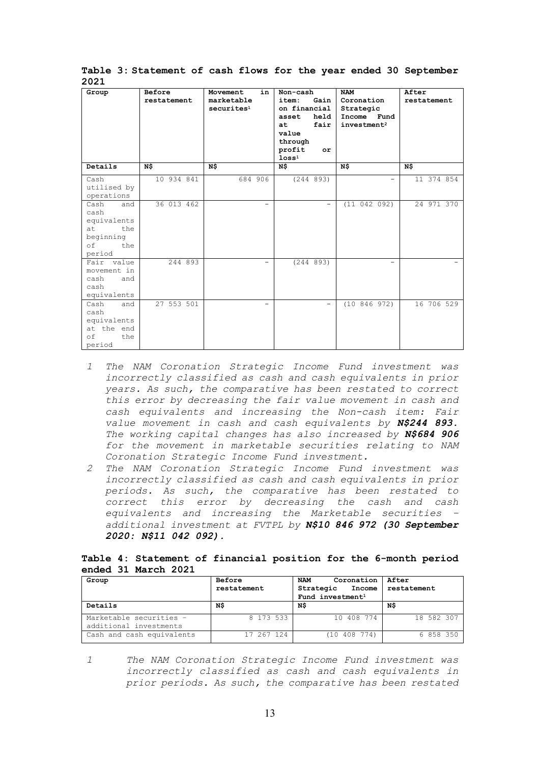| ᅩ◡ᄼᅩ                                                                                |                       |                                                        |                                                                                                                                          |                                                                                 |                      |
|-------------------------------------------------------------------------------------|-----------------------|--------------------------------------------------------|------------------------------------------------------------------------------------------------------------------------------------------|---------------------------------------------------------------------------------|----------------------|
| Group                                                                               | Before<br>restatement | Movement<br>in<br>marketable<br>securites <sup>1</sup> | Non-cash<br>item:<br>Gain I<br>on financial  <br>asset<br>held  <br>fair<br>at.<br>value<br>through<br>profit<br>or<br>loss <sup>1</sup> | <b>NAM</b><br>Coronation<br>Strategic<br>Income Fund<br>investment <sup>2</sup> | After<br>restatement |
| Details                                                                             | N\$                   | N\$                                                    | N\$                                                                                                                                      | N\$                                                                             | N\$                  |
| Cash<br>utilised by<br>operations                                                   | 10 934 841            | 684 906                                                | (244 893)                                                                                                                                | $\overline{\phantom{0}}$                                                        | 11 374 854           |
| Cash<br>and<br>cash<br>equivalents<br>at<br>the<br>beginning<br>οf<br>the<br>period | 36 013 462            | $\overline{\phantom{0}}$                               | $\overline{\phantom{0}}$                                                                                                                 | (11 042 092)                                                                    | 24 971 370           |
| Fair value<br>movement in<br>cash<br>and<br>cash<br>equivalents                     | 244 893               |                                                        | (244 893)                                                                                                                                |                                                                                 |                      |
| Cash<br>and<br>cash<br>equivalents<br>at the end<br>of<br>the<br>period             | 27 553 501            |                                                        | $\overline{\phantom{0}}$                                                                                                                 | (10846972)                                                                      | 16 706 529           |

**Table 3: Statement of cash flows for the year ended 30 September 2021**

- *1 The NAM Coronation Strategic Income Fund investment was incorrectly classified as cash and cash equivalents in prior years. As such, the comparative has been restated to correct this error by decreasing the fair value movement in cash and cash equivalents and increasing the Non-cash item: Fair value movement in cash and cash equivalents by N\$244 893. The working capital changes has also increased by N\$684 906 for the movement in marketable securities relating to NAM Coronation Strategic Income Fund investment.*
- *2 The NAM Coronation Strategic Income Fund investment was incorrectly classified as cash and cash equivalents in prior periods. As such, the comparative has been restated to correct this error by decreasing the cash and cash equivalents and increasing the Marketable securities – additional investment at FVTPL by N\$10 846 972 (30 September 2020: N\$11'042'092).*

## **Table 4: Statement of financial position for the 6-month period ended 31 March 2021**

| Group                                             | Before<br>restatement | Coronation<br><b>NAM</b><br>Strategic<br>Income<br>Fund investment <sup>1</sup> | After<br>restatement |  |
|---------------------------------------------------|-----------------------|---------------------------------------------------------------------------------|----------------------|--|
| Details                                           | N\$                   | ΝŜ                                                                              | N\$                  |  |
| Marketable securities -<br>additional investments | 8 173 533             | 10 408 774                                                                      | 18 582 307           |  |
| Cash and cash equivalents                         | 17 267 124            | (10 408 774)                                                                    | 6 858 350            |  |

*1 The NAM Coronation Strategic Income Fund investment was incorrectly classified as cash and cash equivalents in prior periods. As such, the comparative has been restated*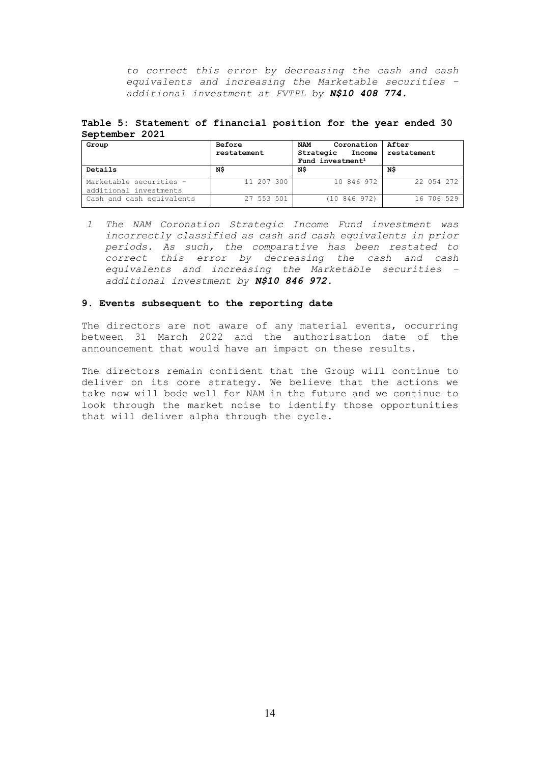*to correct this error by decreasing the cash and cash equivalents and increasing the Marketable securities – additional investment at FVTPL by N\$10 408 774.*

**Table 5: Statement of financial position for the year ended 30 September 2021**

| Group                                             | Before<br>restatement | Coronation<br><b>NAM</b><br>Strategic<br>Income | After<br>restatement |
|---------------------------------------------------|-----------------------|-------------------------------------------------|----------------------|
|                                                   |                       | Fund investment <sup>1</sup>                    |                      |
| Details                                           | N\$                   | ΝŜ                                              | ΝŜ                   |
| Marketable securities -<br>additional investments | 11 207 300            | 10 846 972                                      | 22 054 272           |
| Cash and cash equivalents                         | 27 553 501            | (10846972)                                      | 16 706 529           |

*1 The NAM Coronation Strategic Income Fund investment was incorrectly classified as cash and cash equivalents in prior periods. As such, the comparative has been restated to correct this error by decreasing the cash and cash equivalents and increasing the Marketable securities – additional investment by N\$10 846 972.*

## **9. Events subsequent to the reporting date**

The directors are not aware of any material events, occurring between 31 March 2022 and the authorisation date of the announcement that would have an impact on these results.

The directors remain confident that the Group will continue to deliver on its core strategy. We believe that the actions we take now will bode well for NAM in the future and we continue to look through the market noise to identify those opportunities that will deliver alpha through the cycle.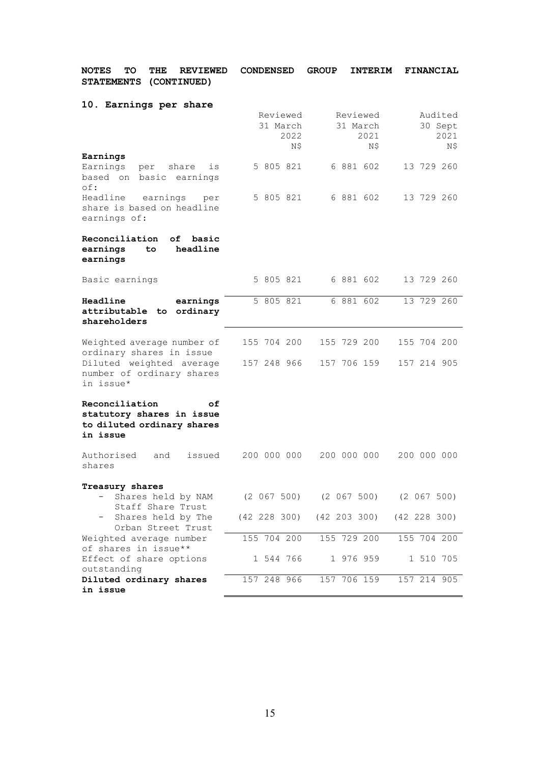| <b>NOTES</b><br>TО<br>THE<br><b>REVIEWED</b><br><b>STATEMENTS</b><br>(CONTINUED)                                             | <b>CONDENSED</b>                    | <b>GROUP</b><br><b>INTERIM</b>                                                | <b>FINANCIAL</b>                  |
|------------------------------------------------------------------------------------------------------------------------------|-------------------------------------|-------------------------------------------------------------------------------|-----------------------------------|
| 10. Earnings per share                                                                                                       | Reviewed<br>31 March<br>2022<br>N\$ | Reviewed<br>31 March<br>2021<br>Ν\$                                           | Audited<br>30 Sept<br>2021<br>N\$ |
| Earnings<br>Earnings<br>share<br>per<br>is<br>based on<br>basic<br>earnings<br>of:                                           | 5 805 821                           | 6 881 602                                                                     | 13 729 260                        |
| Headline<br>earnings<br>per<br>share is based on headline<br>earnings of:                                                    | 5 805 821                           | 6 881 602                                                                     | 13 729 260                        |
| Reconciliation<br>оf<br>basic<br>headline<br>earnings<br>to<br>earnings                                                      |                                     |                                                                               |                                   |
| Basic earnings                                                                                                               | 5 805 821                           | 6 881 602                                                                     | 13 729 260                        |
| Headline<br>earnings<br>ordinary<br>attributable<br>to.<br>shareholders                                                      | 5 805 821                           | 6 881 602                                                                     | 13 729 260                        |
| Weighted average number of<br>ordinary shares in issue<br>Diluted weighted average<br>number of ordinary shares<br>in issue* | 155 704 200<br>157 248 966          | 155 729 200<br>157 706 159                                                    | 155 704 200<br>157 214 905        |
| Reconciliation<br>оf<br>statutory shares in issue<br>to diluted ordinary shares<br>in issue                                  |                                     |                                                                               |                                   |
| Authorised<br>issued<br>and<br>shares                                                                                        | 200 000 000                         | 200 000 000                                                                   | 200 000 000                       |
| Treasury shares<br>Shares held by NAM<br>Staff Share Trust<br>Shares held by The                                             |                                     | (2 067 500) (2 067 500) (2 067 500)<br>(42 228 300) (42 203 300) (42 228 300) |                                   |
| Orban Street Trust<br>Weighted average number                                                                                | 155 704 200                         | 155 729 200                                                                   | 155 704 200                       |
| of shares in issue**<br>Effect of share options<br>outstanding                                                               | 1 544 766                           | 1 976 959                                                                     | 1 510 705                         |
| Diluted ordinary shares<br>in issue                                                                                          | 157 248 966                         | 157 706 159                                                                   | 157 214 905                       |